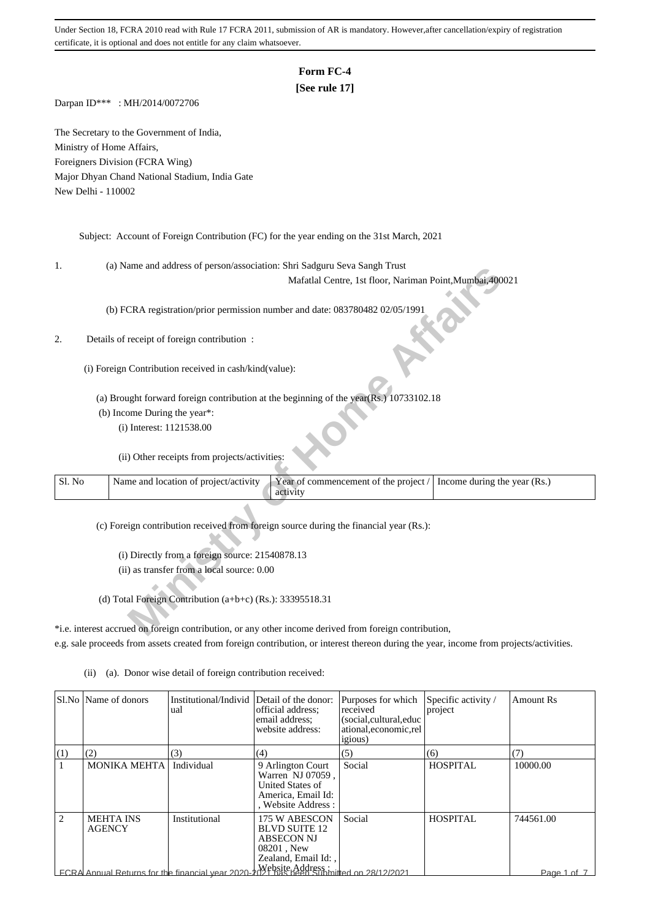# **Form FC-4**

## **[See rule 17]**

Darpan ID\*\*\* : MH/2014/0072706

The Secretary to the Government of India, Ministry of Home Affairs, Foreigners Division (FCRA Wing) Major Dhyan Chand National Stadium, India Gate New Delhi - 110002

Subject: Account of Foreign Contribution (FC) for the year ending on the 31st March, 2021

1. (a) Name and address of person/association: Shri Sadguru Seva Sangh Trust

#### 2. Details of receipt of foreign contribution :

| ı.     | (a) ivalue and address of person/association. Shift Sauguru Seva Salign Trust                                              |
|--------|----------------------------------------------------------------------------------------------------------------------------|
|        | Mafatlal Centre, 1st floor, Nariman Point, Mumbai, 400021                                                                  |
|        | (b) FCRA registration/prior permission number and date: 083780482 02/05/1991                                               |
| 2.     | Details of receipt of foreign contribution :                                                                               |
|        | (i) Foreign Contribution received in cash/kind(value):                                                                     |
|        | (a) Brought forward foreign contribution at the beginning of the year(Rs.) 10733102.18                                     |
|        | (b) Income During the year*:                                                                                               |
|        | (i) Interest: 1121538.00                                                                                                   |
|        | (ii) Other receipts from projects/activities:                                                                              |
| Sl. No | Name and location of project/activity<br>Year of commencement of the project /<br>Income during the year (Rs.)<br>activity |
|        | (c) Foreign contribution received from foreign source during the financial year (Rs.):                                     |
|        |                                                                                                                            |
|        | (i) Directly from a foreign source: 21540878.13                                                                            |
|        | (ii) as transfer from a local source: 0.00                                                                                 |
|        |                                                                                                                            |
|        | (d) Total Foreign Contribution $(a+b+c)$ (Rs.): 33395518.31                                                                |
|        | *i.e. interest accrued on foreign contribution, or any other income derived from foreign contribution,                     |

\*i.e. interest accrued on foreign contribution, or any other income derived from foreign contribution, e.g. sale proceeds from assets created from foreign contribution, or interest thereon during the year, income from projects/activities.

|     | SLNo   Name of donors             | Institutional/Individ<br>ual                                                          | Detail of the donor:<br>official address:<br>email address:<br>website address:                        | Purposes for which<br>received<br>(social, cultural, educ<br>ational, economic, rel<br><i>igious</i> ) | Specific activity /<br>project | <b>Amount Rs</b> |
|-----|-----------------------------------|---------------------------------------------------------------------------------------|--------------------------------------------------------------------------------------------------------|--------------------------------------------------------------------------------------------------------|--------------------------------|------------------|
| (1) | (2)                               | (3)                                                                                   | (4)                                                                                                    | (5)                                                                                                    | (6)                            | (7)              |
|     | <b>MONIKA MEHTA</b>               | Individual                                                                            | 9 Arlington Court<br>Warren NJ 07059,<br>United States of<br>America, Email Id:<br>, Website Address : | Social                                                                                                 | <b>HOSPITAL</b>                | 10000.00         |
| 2   | <b>MEHTA INS</b><br><b>AGENCY</b> | Institutional                                                                         | 175 W ABESCON<br><b>BLVD SUITE 12</b><br><b>ABSECON NJ</b><br>$08201$ , New<br>Zealand, Email Id:,     | Social                                                                                                 | HOSPITAL                       | 744561.00        |
|     |                                   | ECRA Annual Returns for the financial year 2020-2021 has been Submitted on 28/12/2021 |                                                                                                        |                                                                                                        |                                | Page 1 of 7      |

(ii) (a). Donor wise detail of foreign contribution received: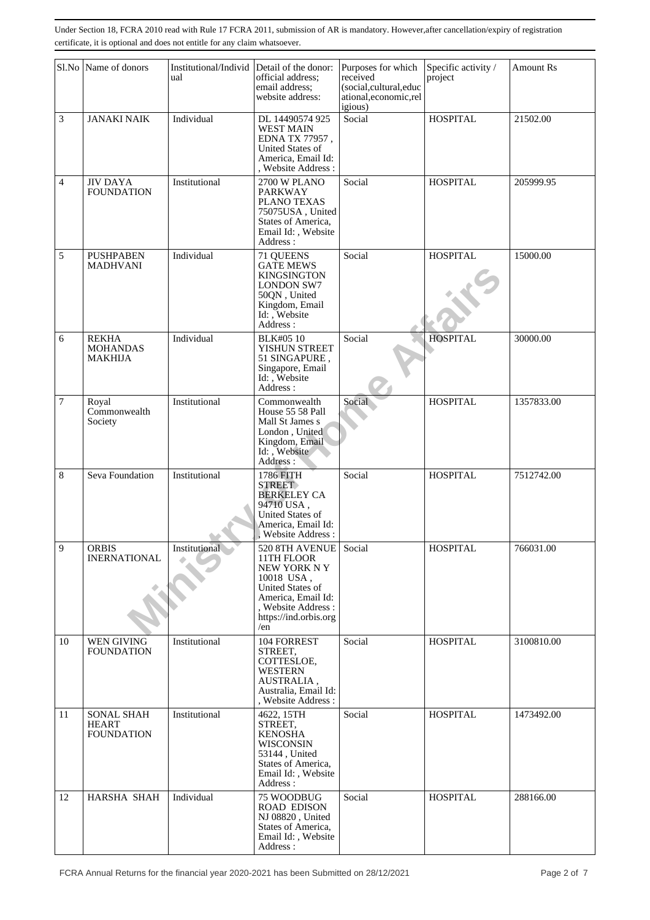|    | Sl.No Name of donors                                   | Institutional/Individ<br>ual | Detail of the donor:<br>official address;<br>email address:<br>website address:                                                                            | Purposes for which<br>received<br>(social,cultural,educ<br>ational, economic, rel<br>igious) | Specific activity /<br>project | <b>Amount Rs</b> |
|----|--------------------------------------------------------|------------------------------|------------------------------------------------------------------------------------------------------------------------------------------------------------|----------------------------------------------------------------------------------------------|--------------------------------|------------------|
| 3  | <b>JANAKI NAIK</b>                                     | Individual                   | DL 14490574 925<br><b>WEST MAIN</b><br>EDNA TX 77957,<br>United States of<br>America, Email Id:<br>, Website Address:                                      | Social                                                                                       | <b>HOSPITAL</b>                | 21502.00         |
| 4  | <b>JIV DAYA</b><br><b>FOUNDATION</b>                   | Institutional                | <b>2700 W PLANO</b><br><b>PARKWAY</b><br>PLANO TEXAS<br>75075USA, United<br>States of America,<br>Email Id:, Website<br>Address:                           | Social                                                                                       | <b>HOSPITAL</b>                | 205999.95        |
| 5  | <b>PUSHPABEN</b><br><b>MADHVANI</b>                    | Individual                   | 71 QUEENS<br><b>GATE MEWS</b><br><b>KINGSINGTON</b><br><b>LONDON SW7</b><br>50QN, United<br>Kingdom, Email<br>Id: , Website<br>Address:                    | Social                                                                                       | <b>HOSPITAL</b>                | 15000.00         |
| 6  | <b>REKHA</b><br><b>MOHANDAS</b><br>MAKHIJA             | Individual                   | <b>BLK#05 10</b><br>YISHUN STREET<br>51 SINGAPURE,<br>Singapore, Email<br>Id: , Website<br>Address:                                                        | Social                                                                                       | <b>HOSPITAL</b>                | 30000.00         |
| 7  | Royal<br>Commonwealth<br>Society                       | Institutional                | Commonwealth<br>House 55 58 Pall<br>Mall St James s<br>London, United<br>Kingdom, Email<br>Id: , Website<br>Address:                                       | Social                                                                                       | <b>HOSPITAL</b>                | 1357833.00       |
| 8  | Seva Foundation                                        | Institutional                | 1786 FITH<br><b>STREET</b><br><b>BERKELEY CA</b><br>94710 USA,<br>United States of<br>America, Email Id:<br><b>Website Address:</b>                        | Social                                                                                       | <b>HOSPITAL</b>                | 7512742.00       |
| 9  | <b>ORBIS</b><br><b>INERNATIONAL</b>                    | Institutional                | 520 8TH AVENUE<br>11TH FLOOR<br>NEW YORK N Y<br>10018 USA,<br>United States of<br>America, Email Id:<br>, Website Address:<br>https://ind.orbis.org<br>/en | Social                                                                                       | <b>HOSPITAL</b>                | 766031.00        |
| 10 | WEN GIVING<br><b>FOUNDATION</b>                        | Institutional                | 104 FORREST<br>STREET,<br>COTTESLOE,<br><b>WESTERN</b><br>AUSTRALIA,<br>Australia, Email Id:<br>, Website Address:                                         | Social                                                                                       | <b>HOSPITAL</b>                | 3100810.00       |
| 11 | <b>SONAL SHAH</b><br><b>HEART</b><br><b>FOUNDATION</b> | Institutional                | 4622, 15TH<br>STREET,<br><b>KENOSHA</b><br><b>WISCONSIN</b><br>53144, United<br>States of America,<br>Email Id:, Website<br>Address:                       | Social                                                                                       | <b>HOSPITAL</b>                | 1473492.00       |
| 12 | HARSHA SHAH                                            | Individual                   | 75 WOODBUG<br><b>ROAD EDISON</b><br>NJ 08820, United<br>States of America,<br>Email Id:, Website<br>Address:                                               | Social                                                                                       | <b>HOSPITAL</b>                | 288166.00        |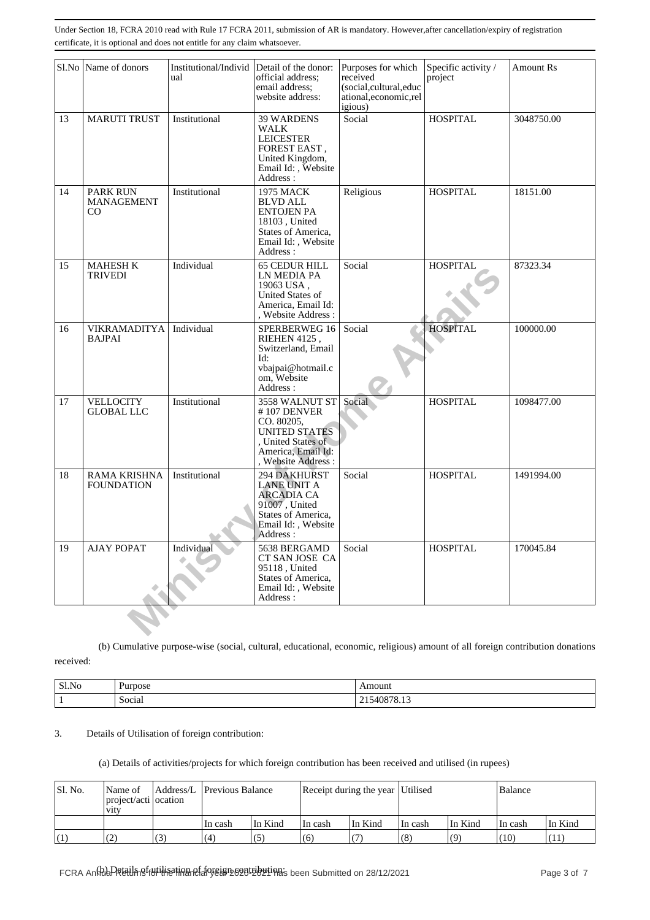|    | Sl.No Name of donors                     | Institutional/Individ Detail of the donor:<br>ual | official address;<br>email address:<br>website address:                                                                                   | Purposes for which<br>received<br>(social,cultural,educ<br>ational,economic,rel<br>igious) | Specific activity /<br>project | Amount Rs  |
|----|------------------------------------------|---------------------------------------------------|-------------------------------------------------------------------------------------------------------------------------------------------|--------------------------------------------------------------------------------------------|--------------------------------|------------|
| 13 | <b>MARUTI TRUST</b>                      | Institutional                                     | <b>39 WARDENS</b><br><b>WALK</b><br><b>LEICESTER</b><br>FOREST EAST,<br>United Kingdom,<br>Email Id:, Website<br>Address:                 | Social                                                                                     | <b>HOSPITAL</b>                | 3048750.00 |
| 14 | PARK RUN<br><b>MANAGEMENT</b><br>CO.     | Institutional                                     | <b>1975 MACK</b><br><b>BLVD ALL</b><br><b>ENTOJEN PA</b><br>18103, United<br>States of America,<br>Email Id:, Website<br>Address :        | Religious                                                                                  | <b>HOSPITAL</b>                | 18151.00   |
| 15 | <b>MAHESH K</b><br><b>TRIVEDI</b>        | Individual                                        | <b>65 CEDUR HILL</b><br>LN MEDIA PA<br>19063 USA,<br><b>United States of</b><br>America, Email Id:<br>, Website Address:                  | Social                                                                                     | <b>HOSPITAL</b>                | 87323.34   |
| 16 | <b>VIKRAMADITYA</b><br><b>BAJPAI</b>     | Individual                                        | SPERBERWEG 16<br>RIEHEN 4125,<br>Switzerland, Email<br>Id:<br>vbajpai@hotmail.c<br>om, Website<br>Address:                                | Social                                                                                     | <b>HOSPITAL</b>                | 100000.00  |
| 17 | <b>VELLOCITY</b><br><b>GLOBAL LLC</b>    | Institutional                                     | 3558 WALNUT ST<br>$# 107$ DENVER<br>CO. 80205,<br><b>UNITED STATES</b><br>, United States of<br>America, Email Id:<br>, Website Address : | Social                                                                                     | <b>HOSPITAL</b>                | 1098477.00 |
| 18 | <b>RAMA KRISHNA</b><br><b>FOUNDATION</b> | Institutional                                     | 294 DAKHURST<br><b>LANE UNIT A</b><br><b>ARCADIA CA</b><br>91007, United<br>States of America,<br>Email Id:, Website<br>Address:          | Social                                                                                     | <b>HOSPITAL</b>                | 1491994.00 |
| 19 | <b>AJAY POPAT</b>                        | Individual                                        | 5638 BERGAMD<br>CT SAN JOSE CA<br>95118, United<br>States of America,<br>Email Id:, Website<br>Address:                                   | Social                                                                                     | <b>HOSPITAL</b>                | 170045.84  |
|    |                                          |                                                   |                                                                                                                                           |                                                                                            |                                |            |

(b) Cumulative purpose-wise (social, cultural, educational, economic, religious) amount of all foreign contribution donations

received:

| SI.No | –<br>Purnose  | nouni                                    |
|-------|---------------|------------------------------------------|
|       | . .<br>Social | 76<br>40 N<br>,,,,<br>-<br>$\sim$<br>___ |

# 3. Details of Utilisation of foreign contribution:

#### (a) Details of activities/projects for which foreign contribution has been received and utilised (in rupees)

| Sl. No. | Name of<br>project/acti ocation<br><b>V1tV</b> |     | Address/L Previous Balance |         | Receipt during the year Utilised |         |         |         | Balance |         |
|---------|------------------------------------------------|-----|----------------------------|---------|----------------------------------|---------|---------|---------|---------|---------|
|         |                                                |     | In cash                    | In Kind | In cash                          | In Kind | In cash | In Kind | In cash | In Kind |
|         | (2)                                            | (3) | $\overline{a}$             | (5      | (6)                              |         | (8)     | (9)     | (10)    |         |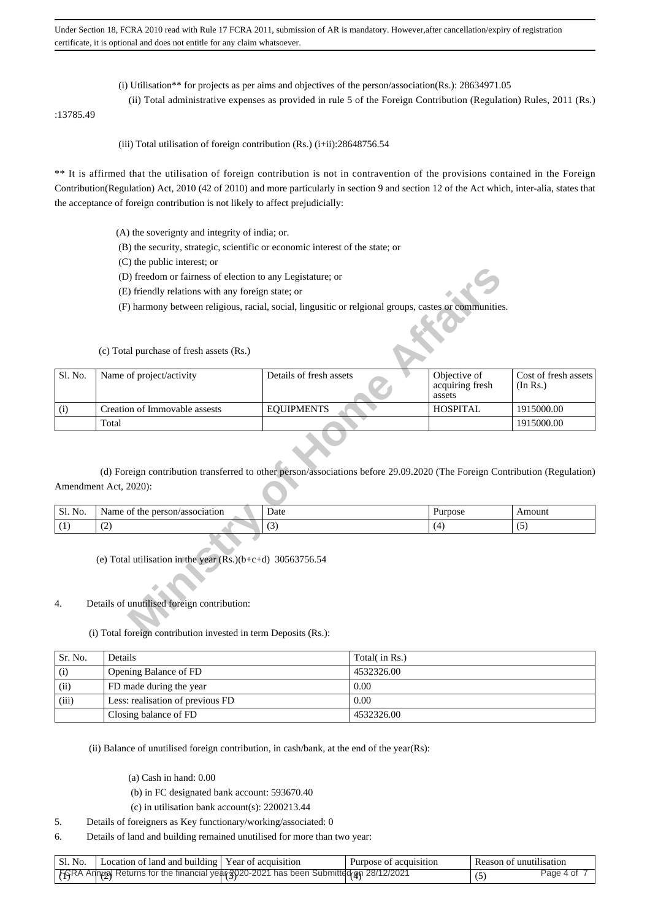- (i) Utilisation\*\* for projects as per aims and objectives of the person/association(Rs.): 28634971.05
- (ii) Total administrative expenses as provided in rule 5 of the Foreign Contribution (Regulation) Rules, 2011 (Rs.)

:13785.49

(iii) Total utilisation of foreign contribution  $(Rs.)$  (i+ii):28648756.54

\*\* It is affirmed that the utilisation of foreign contribution is not in contravention of the provisions contained in the Foreign Contribution(Regulation) Act, 2010 (42 of 2010) and more particularly in section 9 and section 12 of the Act which, inter-alia, states that the acceptance of foreign contribution is not likely to affect prejudicially:

- (A) the soverignty and integrity of india; or.
- (B) the security, strategic, scientific or economic interest of the state; or
- (C) the public interest; or
- (D) freedom or fairness of election to any Legistature; or
- (E) friendly relations with any foreign state; or
- (F) harmony between religious, racial, social, lingusitic or relgional groups, castes or communities.

|         | (D) freedom or fairness of election to any Legistature; or                                                  |                                                                                                                            |                                           |                                  |
|---------|-------------------------------------------------------------------------------------------------------------|----------------------------------------------------------------------------------------------------------------------------|-------------------------------------------|----------------------------------|
|         | (E) friendly relations with any foreign state; or                                                           |                                                                                                                            |                                           |                                  |
|         |                                                                                                             | (F) harmony between religious, racial, social, lingusitic or relgional groups, castes or communities.                      |                                           |                                  |
|         |                                                                                                             |                                                                                                                            |                                           |                                  |
|         | (c) Total purchase of fresh assets (Rs.)                                                                    |                                                                                                                            |                                           |                                  |
| Sl. No. | Name of project/activity                                                                                    | Details of fresh assets                                                                                                    | Objective of<br>acquiring fresh<br>assets | Cost of fresh assets<br>(In Rs.) |
| (i)     | Creation of Immovable assests                                                                               | <b>EQUIPMENTS</b>                                                                                                          | <b>HOSPITAL</b>                           | 1915000.00                       |
|         | Total                                                                                                       |                                                                                                                            |                                           | 1915000.00                       |
|         | Amendment Act, 2020):                                                                                       | (d) Foreign contribution transferred to other person/associations before 29.09.2020 (The Foreign Contribution (Regulation) |                                           |                                  |
| Sl. No. | Name of the person/association                                                                              | Date                                                                                                                       | Purpose                                   | Amount                           |
| (1)     | (2)                                                                                                         | (3)                                                                                                                        | (4)                                       | (5)                              |
| 4.      | (e) Total utilisation in the year $(Rs.)(b+c+d)$ 30563756.54<br>Details of unutilised foreign contribution: |                                                                                                                            |                                           |                                  |
|         | (i) Total foreign contribution invested in term Deposits (Rs.):                                             |                                                                                                                            |                                           |                                  |

| Sl. No.<br>. | association<br>.sam<br><sup>ം</sup> rson <sub>′</sub> പ<br>ш | Jate<br>. | 1.344332222<br>pose |  |
|--------------|--------------------------------------------------------------|-----------|---------------------|--|
|              | $\sim$<br>$\sim$                                             | $\sim$    |                     |  |

## 4. Details of unutilised foreign contribution:

(i) Total foreign contribution invested in term Deposits (Rs.):

| Sr. No. | Details                          | Total( in Rs.) |
|---------|----------------------------------|----------------|
| (i)     | Opening Balance of FD            | 4532326.00     |
| (ii)    | FD made during the year          | 0.00           |
| (iii)   | Less: realisation of previous FD | 0.00           |
|         | Closing balance of FD            | 4532326.00     |

(ii) Balance of unutilised foreign contribution, in cash/bank, at the end of the year(Rs):

- (a) Cash in hand: 0.00
- (b) in FC designated bank account: 593670.40
- (c) in utilisation bank account(s): 2200213.44
- 5. Details of foreigners as Key functionary/working/associated: 0
- 6. Details of land and building remained unutilised for more than two year:

| Sl. No.   Location of land and building   Year of acquisition                         | Purpose of acquisition | l Reason of unutilisation |           |
|---------------------------------------------------------------------------------------|------------------------|---------------------------|-----------|
| FGRA Annual Returns for the financial year 3020-2021 has been Submitted an 28/12/2021 |                        |                           | Page 4 of |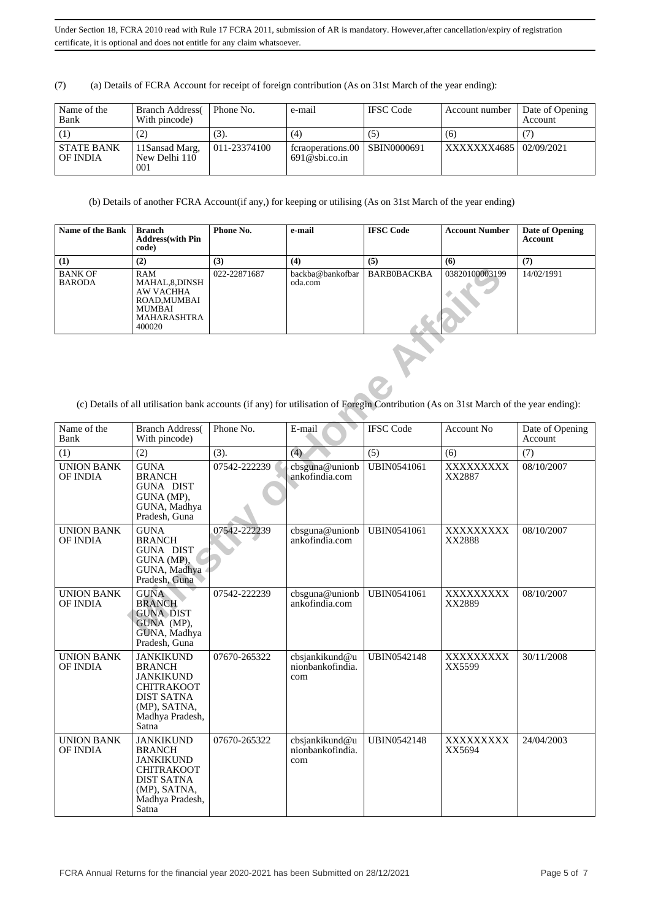(7) (a) Details of FCRA Account for receipt of foreign contribution (As on 31st March of the year ending):

| Name of the<br>Bank           | <b>Branch Address</b><br>With pincode)  | Phone No.    | e-mail                                | <b>IFSC Code</b>   | Account number          | Date of Opening<br>Account |
|-------------------------------|-----------------------------------------|--------------|---------------------------------------|--------------------|-------------------------|----------------------------|
|                               |                                         | (3).         | (4)                                   | (5)                | (6)                     |                            |
| <b>STATE BANK</b><br>OF INDIA | 11 Sansad Marg,<br>New Delhi 110<br>001 | 011-23374100 | fcraoperations.00<br>$691@$ sbi.co.in | <b>SBIN0000691</b> | XXXXXX4685   02/09/2021 |                            |

(b) Details of another FCRA Account(if any,) for keeping or utilising (As on 31st March of the year ending)

| <b>Name of the Bank</b>         | <b>Branch</b><br><b>Address</b> (with Pin<br>code)                                         | Phone No.    | e-mail                      | <b>IFSC Code</b>   | <b>Account Number</b> | Date of Opening<br>Account |
|---------------------------------|--------------------------------------------------------------------------------------------|--------------|-----------------------------|--------------------|-----------------------|----------------------------|
| (1)                             | (2)                                                                                        | (3)          | (4)                         | (5)                | (6)                   | (7)                        |
| <b>BANK OF</b><br><b>BARODA</b> | RAM<br>MAHAL,8,DINSH<br>AW VACHHA<br>ROAD.MUMBAI<br><b>MUMBAI</b><br>MAHARASHTRA<br>400020 | 022-22871687 | backba@bankofbar<br>oda.com | <b>BARB0BACKBA</b> | 03820100003199        | 14/02/1991                 |

| <b>BANK OF</b><br><b>BARODA</b>      | RAM<br>MAHAL, 8, DINSH<br><b>AW VACHHA</b><br>ROAD.MUMBAI<br>MUMBAI<br><b>MAHARASHTRA</b><br>400020                                                      | 022-22871687 | backba@bankofbar<br>oda.com               | <b>BARBOBACKBA</b> | 03820100003199                                                                                                                       | 14/02/1991                 |
|--------------------------------------|----------------------------------------------------------------------------------------------------------------------------------------------------------|--------------|-------------------------------------------|--------------------|--------------------------------------------------------------------------------------------------------------------------------------|----------------------------|
|                                      |                                                                                                                                                          |              |                                           |                    | (c) Details of all utilisation bank accounts (if any) for utilisation of Foregin Contribution (As on 31st March of the year ending): |                            |
| Name of the<br>Bank                  | <b>Branch Address</b> (<br>With pincode)                                                                                                                 | Phone No.    | E-mail                                    | <b>IFSC</b> Code   | Account No                                                                                                                           | Date of Opening<br>Account |
| (1)                                  | (2)                                                                                                                                                      | (3).         | (4)                                       | (5)                | (6)                                                                                                                                  | (7)                        |
| <b>UNION BANK</b><br><b>OF INDIA</b> | <b>GUNA</b><br><b>BRANCH</b><br><b>GUNA DIST</b><br>GUNA (MP),<br>GUNA, Madhya<br>Pradesh, Guna                                                          | 07542-222239 | cbsguna@unionb<br>ankofindia.com          | <b>UBIN0541061</b> | XXXXXXXXX<br>XX2887                                                                                                                  | 08/10/2007                 |
| <b>UNION BANK</b><br>OF INDIA        | <b>GUNA</b><br><b>BRANCH</b><br><b>GUNA DIST</b><br>GUNA (MP),<br>GUNA, Madhya<br>Pradesh, Guna                                                          | 07542-222239 | cbsguna@unionb<br>ankofindia.com          | <b>UBIN0541061</b> | XXXXXXXXX<br>XX2888                                                                                                                  | 08/10/2007                 |
| <b>UNION BANK</b><br>OF INDIA        | <b>GUNA</b><br><b>BRANCH</b><br><b>GUNA DIST</b><br>GUNA (MP),<br>GUNA, Madhya<br>Pradesh, Guna                                                          | 07542-222239 | cbsguna@unionb<br>ankofindia.com          | <b>UBIN0541061</b> | XXXXXXXXX<br>XX2889                                                                                                                  | 08/10/2007                 |
| <b>UNION BANK</b><br>OF INDIA        | <b>JANKIKUND</b><br><b>BRANCH</b><br><b>JANKIKUND</b><br><b>CHITRAKOOT</b><br><b>DIST SATNA</b><br>(MP), SATNA,<br>Madhya Pradesh,<br>Satna <sup>1</sup> | 07670-265322 | cbsjankikund@u<br>nionbankofindia.<br>com | <b>UBIN0542148</b> | XXXXXXXXX<br>XX5599                                                                                                                  | 30/11/2008                 |
| <b>UNION BANK</b><br>OF INDIA        | <b>JANKIKUND</b><br><b>BRANCH</b><br><b>JANKIKUND</b><br><b>CHITRAKOOT</b><br><b>DIST SATNA</b><br>(MP), SATNA,<br>Madhya Pradesh,<br>Satna              | 07670-265322 | cbsjankikund@u<br>nionbankofindia.<br>com | <b>UBIN0542148</b> | XXXXXXXXX<br>XX5694                                                                                                                  | 24/04/2003                 |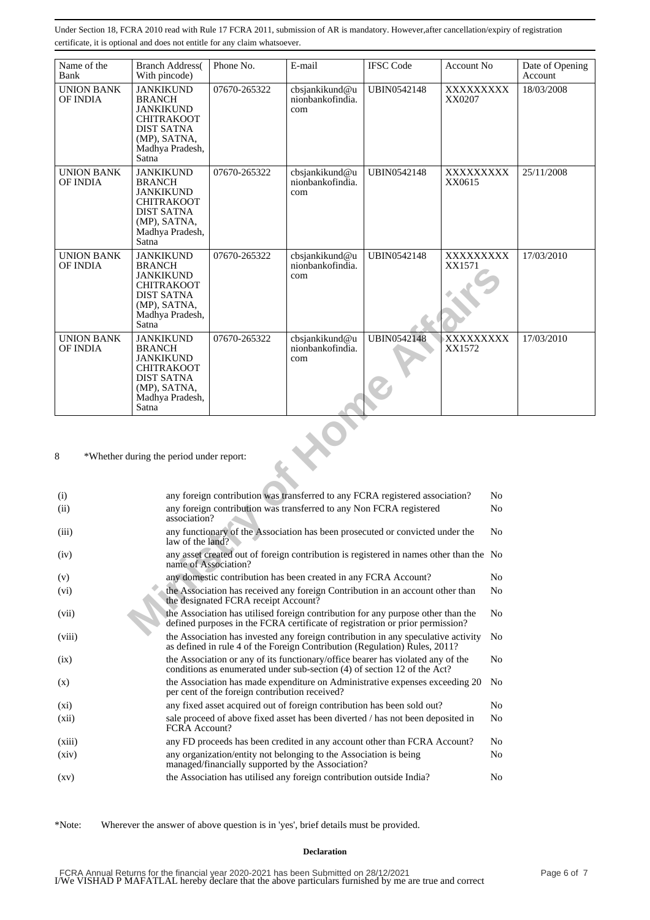| Name of the<br>Bank                  | <b>Branch Address</b><br>With pincode)                                                                                                      | Phone No.                                                                                                                                | E-mail                                                                                                                                                            | <b>IFSC</b> Code   | Account No          | Date of Opening<br>Account |  |
|--------------------------------------|---------------------------------------------------------------------------------------------------------------------------------------------|------------------------------------------------------------------------------------------------------------------------------------------|-------------------------------------------------------------------------------------------------------------------------------------------------------------------|--------------------|---------------------|----------------------------|--|
| <b>UNION BANK</b><br>OF INDIA        | <b>JANKIKUND</b><br><b>BRANCH</b><br><b>JANKIKUND</b><br><b>CHITRAKOOT</b><br><b>DIST SATNA</b><br>(MP), SATNA,<br>Madhya Pradesh,<br>Satna | 07670-265322                                                                                                                             | cbsjankikund@u<br>nionbankofindia.<br>com                                                                                                                         | <b>UBIN0542148</b> | XXXXXXXXX<br>XX0207 | 18/03/2008                 |  |
| <b>UNION BANK</b><br><b>OF INDIA</b> | <b>JANKIKUND</b><br><b>BRANCH</b><br><b>JANKIKUND</b><br>CHITRAKOOT<br>DIST SATNA<br>(MP), SATNA,<br>Madhya Pradesh,<br>Satna               | 07670-265322                                                                                                                             | cbsjankikund@u<br>nionbankofindia.<br>com                                                                                                                         | <b>UBIN0542148</b> | XXXXXXXXX<br>XX0615 | 25/11/2008                 |  |
| <b>UNION BANK</b><br>OF INDIA        | <b>JANKIKUND</b><br><b>BRANCH</b><br>JANKIKUND<br><b>CHITRAKOOT</b><br>DIST SATNA<br>(MP), SATNA,<br>Madhya Pradesh,<br>Satna               | 07670-265322                                                                                                                             | cbsjankikund@u<br>nionbankofindia.<br>com                                                                                                                         | <b>UBIN0542148</b> | XXXXXXXXX<br>XX1571 | 17/03/2010                 |  |
| <b>UNION BANK</b><br>OF INDIA        | <b>JANKIKUND</b><br><b>BRANCH</b><br><b>JANKIKUND</b><br><b>CHITRAKOOT</b><br><b>DIST SATNA</b><br>(MP), SATNA,<br>Madhya Pradesh,<br>Satna | 07670-265322                                                                                                                             | cbsjankikund@u<br>nionbankofindia.<br>com                                                                                                                         | <b>UBIN0542148</b> | XXXXXXXXX<br>XX1572 | 17/03/2010                 |  |
| 8                                    | *Whether during the period under report:                                                                                                    |                                                                                                                                          |                                                                                                                                                                   |                    |                     |                            |  |
| (i)                                  |                                                                                                                                             | any foreign contribution was transferred to any FCRA registered association?                                                             | No                                                                                                                                                                |                    |                     |                            |  |
| (ii)                                 |                                                                                                                                             | any foreign contribution was transferred to any Non FCRA registered<br>N <sub>0</sub><br>association?                                    |                                                                                                                                                                   |                    |                     |                            |  |
| (iii)                                |                                                                                                                                             | any functionary of the Association has been prosecuted or convicted under the<br>N <sub>0</sub><br>law of the land?                      |                                                                                                                                                                   |                    |                     |                            |  |
| (iv)                                 |                                                                                                                                             | any asset created out of foreign contribution is registered in names other than the No<br>name of Association?                           |                                                                                                                                                                   |                    |                     |                            |  |
| (v)                                  |                                                                                                                                             | No<br>any domestic contribution has been created in any FCRA Account?                                                                    |                                                                                                                                                                   |                    |                     |                            |  |
| (vi)                                 |                                                                                                                                             | the Association has received any foreign Contribution in an account other than<br>N <sub>0</sub><br>the designated FCRA receipt Account? |                                                                                                                                                                   |                    |                     |                            |  |
| (vii)                                |                                                                                                                                             |                                                                                                                                          | the Association has utilised foreign contribution for any purpose other than the<br>defined purposes in the FCRA certificate of registration or prior permission? |                    | N <sub>0</sub>      |                            |  |
|                                      |                                                                                                                                             |                                                                                                                                          | Acceptation has increased once fouriers contribution in one or contati                                                                                            |                    |                     |                            |  |

| (i)                | any foreign contribution was transferred to any FCRA registered association?                                                                                      | No             |
|--------------------|-------------------------------------------------------------------------------------------------------------------------------------------------------------------|----------------|
| (ii)               | any foreign contribution was transferred to any Non FCRA registered<br>association?                                                                               | N <sub>0</sub> |
| (iii)              | any functionary of the Association has been prosecuted or convicted under the<br>law of the land?                                                                 | N <sub>0</sub> |
| (iv)               | any asset created out of foreign contribution is registered in names other than the No<br>name of Association?                                                    |                |
| (v)                | any domestic contribution has been created in any FCRA Account?                                                                                                   | N <sub>0</sub> |
| (vi)               | the Association has received any foreign Contribution in an account other than<br>the designated FCRA receipt Account?                                            | N <sub>0</sub> |
| (vii)              | the Association has utilised foreign contribution for any purpose other than the<br>defined purposes in the FCRA certificate of registration or prior permission? | N <sub>0</sub> |
| (viii)             | the Association has invested any foreign contribution in any speculative activity<br>as defined in rule 4 of the Foreign Contribution (Regulation) Rules, 2011?   | No.            |
| (ix)               | the Association or any of its functionary/office bearer has violated any of the<br>conditions as enumerated under sub-section (4) of section 12 of the Act?       | N <sub>0</sub> |
| (x)                | the Association has made expenditure on Administrative expenses exceeding 20<br>per cent of the foreign contribution received?                                    | N <sub>0</sub> |
| $(x_i)$            | any fixed asset acquired out of foreign contribution has been sold out?                                                                                           | N <sub>0</sub> |
| (xii)              | sale proceed of above fixed asset has been diverted / has not been deposited in<br>FCRA Account?                                                                  | N <sub>0</sub> |
| (xiii)             | any FD proceeds has been credited in any account other than FCRA Account?                                                                                         | N <sub>0</sub> |
| (xiv)              | any organization/entity not belonging to the Association is being<br>managed/financially supported by the Association?                                            | N <sub>0</sub> |
| $\left( xy\right)$ | the Association has utilised any foreign contribution outside India?                                                                                              | N <sub>0</sub> |

\*Note: Wherever the answer of above question is in 'yes', brief details must be provided.

**Declaration**